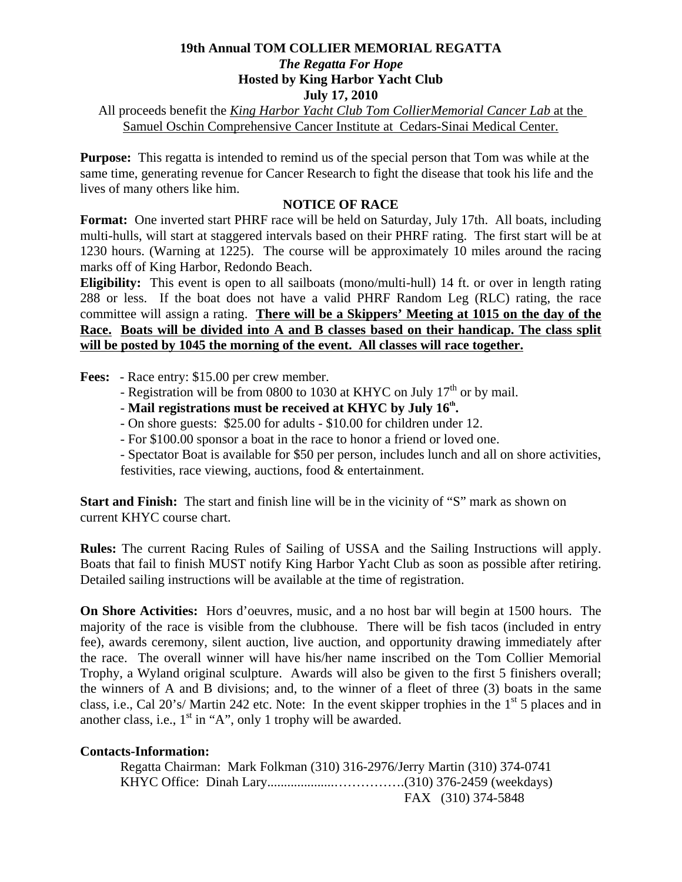## **19th Annual TOM COLLIER MEMORIAL REGATTA**  *The Regatta For Hope*  **Hosted by King Harbor Yacht Club July 17, 2010**

All proceeds benefit the *King Harbor Yacht Club Tom CollierMemorial Cancer Lab* at the Samuel Oschin Comprehensive Cancer Institute at Cedars-Sinai Medical Center.

**Purpose:** This regatta is intended to remind us of the special person that Tom was while at the same time, generating revenue for Cancer Research to fight the disease that took his life and the lives of many others like him.

## **NOTICE OF RACE**

**Format:** One inverted start PHRF race will be held on Saturday, July 17th. All boats, including multi-hulls, will start at staggered intervals based on their PHRF rating. The first start will be at 1230 hours. (Warning at 1225). The course will be approximately 10 miles around the racing marks off of King Harbor, Redondo Beach.

**Eligibility:** This event is open to all sailboats (mono/multi-hull) 14 ft. or over in length rating 288 or less. If the boat does not have a valid PHRF Random Leg (RLC) rating, the race committee will assign a rating. **There will be a Skippers' Meeting at 1015 on the day of the Race. Boats will be divided into A and B classes based on their handicap. The class split will be posted by 1045 the morning of the event. All classes will race together.**

**Fees:** - Race entry: \$15.00 per crew member.

- Registration will be from 0800 to 1030 at KHYC on July  $17<sup>th</sup>$  or by mail.
- Mail registrations must be received at KHYC by July 16<sup>th</sup>.
	- On shore guests: \$25.00 for adults \$10.00 for children under 12.
	- For \$100.00 sponsor a boat in the race to honor a friend or loved one.

 - Spectator Boat is available for \$50 per person, includes lunch and all on shore activities, festivities, race viewing, auctions, food & entertainment.

**Start and Finish:** The start and finish line will be in the vicinity of "S" mark as shown on current KHYC course chart.

**Rules:** The current Racing Rules of Sailing of USSA and the Sailing Instructions will apply. Boats that fail to finish MUST notify King Harbor Yacht Club as soon as possible after retiring. Detailed sailing instructions will be available at the time of registration.

**On Shore Activities:** Hors d'oeuvres, music, and a no host bar will begin at 1500 hours. The majority of the race is visible from the clubhouse. There will be fish tacos (included in entry fee), awards ceremony, silent auction, live auction, and opportunity drawing immediately after the race. The overall winner will have his/her name inscribed on the Tom Collier Memorial Trophy, a Wyland original sculpture. Awards will also be given to the first 5 finishers overall; the winners of A and B divisions; and, to the winner of a fleet of three (3) boats in the same class, i.e., Cal 20's/ Martin 242 etc. Note: In the event skipper trophies in the  $1<sup>st</sup> 5$  places and in another class, i.e.,  $1<sup>st</sup>$  in "A", only 1 trophy will be awarded.

## **Contacts-Information:**

 Regatta Chairman: Mark Folkman (310) 316-2976/Jerry Martin (310) 374-0741 KHYC Office: Dinah Lary....................…………….(310) 376-2459 (weekdays) FAX (310) 374-5848